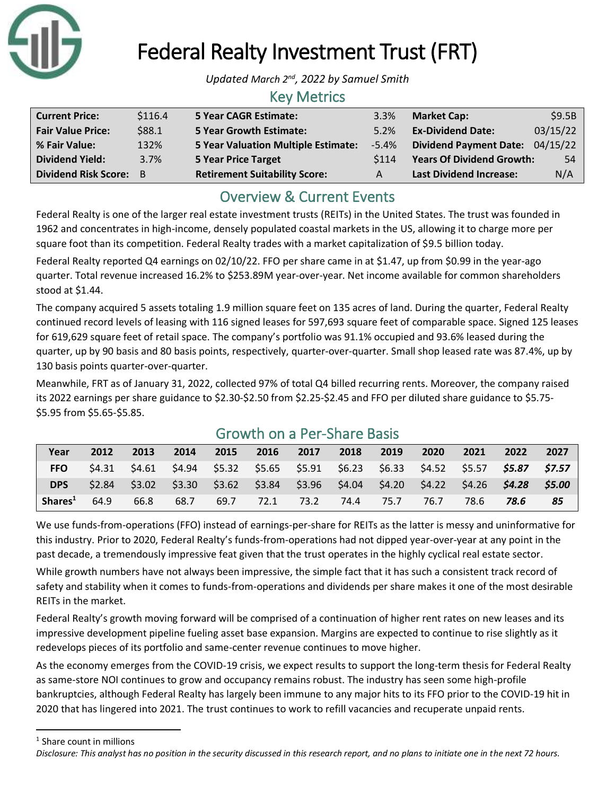

# Federal Realty Investment Trust (FRT)

Updated March 2<sup>nd</sup>, 2022 by Samuel Smith

### Key Metrics

| <b>Current Price:</b>    | \$116.4 | <b>5 Year CAGR Estimate:</b>               | 3.3%     | <b>Market Cap:</b>               | \$9.5B   |
|--------------------------|---------|--------------------------------------------|----------|----------------------------------|----------|
| <b>Fair Value Price:</b> | \$88.1  | <b>5 Year Growth Estimate:</b>             | 5.2%     | <b>Ex-Dividend Date:</b>         | 03/15/22 |
| % Fair Value:            | 132%    | <b>5 Year Valuation Multiple Estimate:</b> | $-5.4\%$ | Dividend Payment Date: 04/15/22  |          |
| <b>Dividend Yield:</b>   | 3.7%    | <b>5 Year Price Target</b>                 | \$114    | <b>Years Of Dividend Growth:</b> | 54       |
| Dividend Risk Score: B   |         | <b>Retirement Suitability Score:</b>       | A        | <b>Last Dividend Increase:</b>   | N/A      |

## Overview & Current Events

Federal Realty is one of the larger real estate investment trusts (REITs) in the United States. The trust was founded in 1962 and concentrates in high-income, densely populated coastal markets in the US, allowing it to charge more per square foot than its competition. Federal Realty trades with a market capitalization of \$9.5 billion today.

Federal Realty reported Q4 earnings on 02/10/22. FFO per share came in at \$1.47, up from \$0.99 in the year-ago quarter. Total revenue increased 16.2% to \$253.89M year-over-year. Net income available for common shareholders stood at \$1.44.

The company acquired 5 assets totaling 1.9 million square feet on 135 acres of land. During the quarter, Federal Realty continued record levels of leasing with 116 signed leases for 597,693 square feet of comparable space. Signed 125 leases for 619,629 square feet of retail space. The company's portfolio was 91.1% occupied and 93.6% leased during the quarter, up by 90 basis and 80 basis points, respectively, quarter-over-quarter. Small shop leased rate was 87.4%, up by 130 basis points quarter-over-quarter.

Meanwhile, FRT as of January 31, 2022, collected 97% of total Q4 billed recurring rents. Moreover, the company raised its 2022 earnings per share guidance to \$2.30-\$2.50 from \$2.25-\$2.45 and FFO per diluted share guidance to \$5.75- \$5.95 from \$5.65-\$5.85.

| Year                | 2012   | 2013   | 2014                                                    | 2015 | 2016 | 2017      | 2018 | 2019 | 2020 | 2021 | 2022                                                                                 | 2027 |
|---------------------|--------|--------|---------------------------------------------------------|------|------|-----------|------|------|------|------|--------------------------------------------------------------------------------------|------|
| <b>FFO</b>          | 54.31  | \$4.61 |                                                         |      |      |           |      |      |      |      | \$4.94  \$5.32  \$5.65  \$5.91  \$6.23  \$6.33  \$4.52  \$5.57 <b>\$5.87  \$7.57</b> |      |
| <b>DPS</b>          | \$2.84 | \$3.02 | $$3.30$ $$3.62$ $$3.84$ $$3.96$ $$4.04$ $$4.20$ $$4.22$ |      |      |           |      |      |      |      | \$4.26 <b>\$4.28 \$5.00</b>                                                          |      |
| Shares <sup>1</sup> | 64.9   | 66.8   | 68.7                                                    | 69.7 | 72.1 | 73.2 74.4 |      | 75.7 | 76.7 | 78.6 | 78.6                                                                                 | 85   |

# Growth on a Per-Share Basis

We use funds-from-operations (FFO) instead of earnings-per-share for REITs as the latter is messy and uninformative for this industry. Prior to 2020, Federal Realty's funds-from-operations had not dipped year-over-year at any point in the past decade, a tremendously impressive feat given that the trust operates in the highly cyclical real estate sector.

While growth numbers have not always been impressive, the simple fact that it has such a consistent track record of safety and stability when it comes to funds-from-operations and dividends per share makes it one of the most desirable REITs in the market.

Federal Realty's growth moving forward will be comprised of a continuation of higher rent rates on new leases and its impressive development pipeline fueling asset base expansion. Margins are expected to continue to rise slightly as it redevelops pieces of its portfolio and same-center revenue continues to move higher.

As the economy emerges from the COVID-19 crisis, we expect results to support the long-term thesis for Federal Realty as same-store NOI continues to grow and occupancy remains robust. The industry has seen some high-profile bankruptcies, although Federal Realty has largely been immune to any major hits to its FFO prior to the COVID-19 hit in 2020 that has lingered into 2021. The trust continues to work to refill vacancies and recuperate unpaid rents.

<sup>1</sup> Share count in millions

*Disclosure: This analyst has no position in the security discussed in this research report, and no plans to initiate one in the next 72 hours.*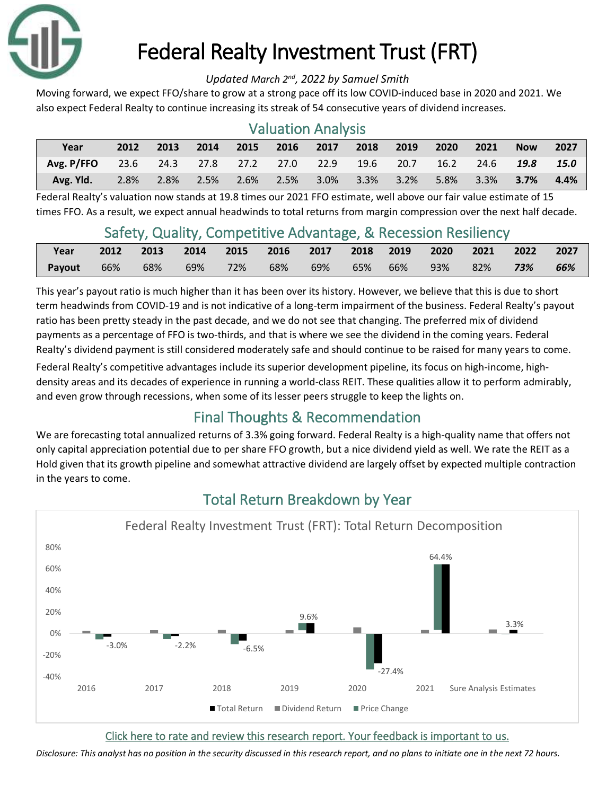

# Federal Realty Investment Trust (FRT)

#### Updated March 2<sup>nd</sup>, 2022 by Samuel Smith

Moving forward, we expect FFO/share to grow at a strong pace off its low COVID-induced base in 2020 and 2021. We also expect Federal Realty to continue increasing its streak of 54 consecutive years of dividend increases.

| <b>Valuation Analysis</b> |      |                |      |                |      |                 |      |         |      |      |            |             |
|---------------------------|------|----------------|------|----------------|------|-----------------|------|---------|------|------|------------|-------------|
| Year                      | 2012 | 2013           | 2014 | 2015           |      | 2016 2017       | 2018 | 2019    | 2020 | 2021 | <b>Now</b> | 2027        |
| Avg. P/FFO                |      | 23.6 24.3 27.8 |      | 27.2 27.0 22.9 |      |                 | 19.6 | 20.7    | 16.2 | 24.6 | 19.8       | <b>15.0</b> |
| Avg. Yld.                 | 2.8% | 2.8%           | 2.5% | 2.6%           | 2.5% | $3.0\%$ $3.3\%$ |      | $3.2\%$ | 5.8% | 3.3% | 3.7%       | 4.4%        |

#### Federal Realty's valuation now stands at 19.8 times our 2021 FFO estimate, well above our fair value estimate of 15 times FFO. As a result, we expect annual headwinds to total returns from margin compression over the next half decade.

### Safety, Quality, Competitive Advantage, & Recession Resiliency

| Year |  | 2012 2013 2014 2015 2016 2017 2018 2019 2020 2021 2022 2027          |  |  |  |  |  |
|------|--|----------------------------------------------------------------------|--|--|--|--|--|
|      |  | <b>Payout</b> 66% 68% 69% 72% 68% 69% 65% 66% 93% 82% <b>73% 66%</b> |  |  |  |  |  |

This year's payout ratio is much higher than it has been over its history. However, we believe that this is due to short term headwinds from COVID-19 and is not indicative of a long-term impairment of the business. Federal Realty's payout ratio has been pretty steady in the past decade, and we do not see that changing. The preferred mix of dividend payments as a percentage of FFO is two-thirds, and that is where we see the dividend in the coming years. Federal Realty's dividend payment is still considered moderately safe and should continue to be raised for many years to come.

Federal Realty's competitive advantages include its superior development pipeline, its focus on high-income, highdensity areas and its decades of experience in running a world-class REIT. These qualities allow it to perform admirably, and even grow through recessions, when some of its lesser peers struggle to keep the lights on.

## Final Thoughts & Recommendation

We are forecasting total annualized returns of 3.3% going forward. Federal Realty is a high-quality name that offers not only capital appreciation potential due to per share FFO growth, but a nice dividend yield as well. We rate the REIT as a Hold given that its growth pipeline and somewhat attractive dividend are largely offset by expected multiple contraction in the years to come.



## Total Return Breakdown by Year

#### [Click here to rate and review this research report. Your feedback is important to us.](https://suredividend.typeform.com/to/e7Q96E)

*Disclosure: This analyst has no position in the security discussed in this research report, and no plans to initiate one in the next 72 hours.*